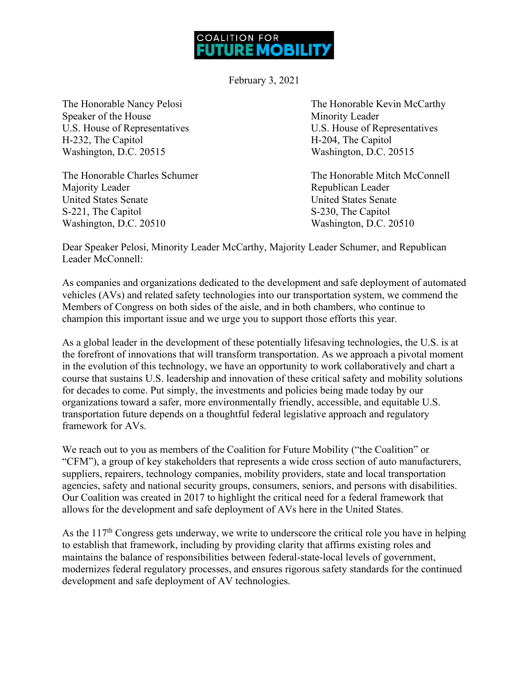

February 3, 2021

Speaker of the House Minority Leader H-232, The Capitol **H-204**, The Capitol Washington, D.C. 20515 Washington, D.C. 20515

Majority Leader **Republican** Leader **Republican** Leader United States Senate United States Senate S-221, The Capitol S-230, The Capitol Washington, D.C. 20510 Washington, D.C. 20510

The Honorable Nancy Pelosi The Honorable Kevin McCarthy U.S. House of Representatives U.S. House of Representatives

The Honorable Charles Schumer The Honorable Mitch McConnell

Dear Speaker Pelosi, Minority Leader McCarthy, Majority Leader Schumer, and Republican Leader McConnell:

As companies and organizations dedicated to the development and safe deployment of automated vehicles (AVs) and related safety technologies into our transportation system, we commend the Members of Congress on both sides of the aisle, and in both chambers, who continue to champion this important issue and we urge you to support those efforts this year.

As a global leader in the development of these potentially lifesaving technologies, the U.S. is at the forefront of innovations that will transform transportation. As we approach a pivotal moment in the evolution of this technology, we have an opportunity to work collaboratively and chart a course that sustains U.S. leadership and innovation of these critical safety and mobility solutions for decades to come. Put simply, the investments and policies being made today by our organizations toward a safer, more environmentally friendly, accessible, and equitable U.S. transportation future depends on a thoughtful federal legislative approach and regulatory framework for AVs.

We reach out to you as members of the Coalition for Future Mobility ("the Coalition" or "CFM"), a group of key stakeholders that represents a wide cross section of auto manufacturers, suppliers, repairers, technology companies, mobility providers, state and local transportation agencies, safety and national security groups, consumers, seniors, and persons with disabilities. Our Coalition was created in 2017 to highlight the critical need for a federal framework that allows for the development and safe deployment of AVs here in the United States.

As the  $117<sup>th</sup>$  Congress gets underway, we write to underscore the critical role you have in helping to establish that framework, including by providing clarity that affirms existing roles and maintains the balance of responsibilities between federal-state-local levels of government, modernizes federal regulatory processes, and ensures rigorous safety standards for the continued development and safe deployment of AV technologies.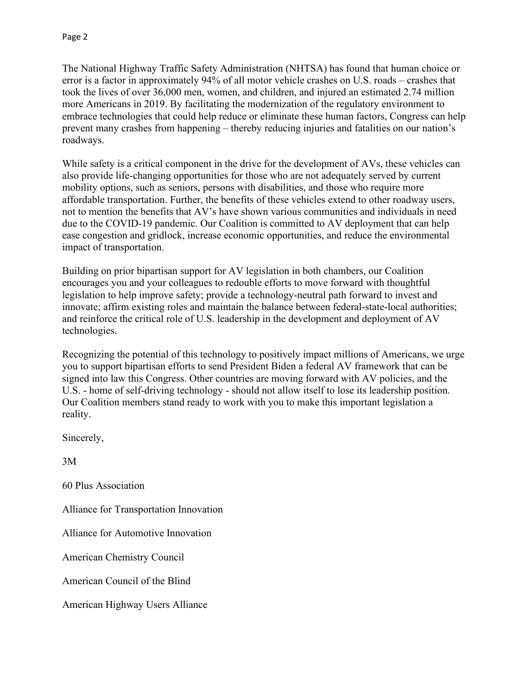The National Highway Traffic Safety Administration (NHTSA) has found that human choice or error is a factor in approximately 94% of all motor vehicle crashes on U.S. roads – crashes that took the lives of over 36,000 men, women, and children, and injured an estimated 2.74 million more Americans in 2019. By facilitating the modernization of the regulatory environment to embrace technologies that could help reduce or eliminate these human factors, Congress can help prevent many crashes from happening – thereby reducing injuries and fatalities on our nation's roadways.

While safety is a critical component in the drive for the development of AVs, these vehicles can also provide life-changing opportunities for those who are not adequately served by current mobility options, such as seniors, persons with disabilities, and those who require more affordable transportation. Further, the benefits of these vehicles extend to other roadway users, not to mention the benefits that AV's have shown various communities and individuals in need due to the COVID-19 pandemic. Our Coalition is committed to AV deployment that can help ease congestion and gridlock, increase economic opportunities, and reduce the environmental impact of transportation.

Building on prior bipartisan support for AV legislation in both chambers, our Coalition encourages you and your colleagues to redouble efforts to move forward with thoughtful legislation to help improve safety; provide a technology-neutral path forward to invest and innovate; affirm existing roles and maintain the balance between federal-state-local authorities; and reinforce the critical role of U.S. leadership in the development and deployment of AV technologies.

Recognizing the potential of this technology to positively impact millions of Americans, we urge you to support bipartisan efforts to send President Biden a federal AV framework that can be signed into law this Congress. Other countries are moving forward with AV policies, and the U.S. - home of self-driving technology - should not allow itself to lose its leadership position. Our Coalition members stand ready to work with you to make this important legislation a reality.

Sincerely,

3M

60 Plus Association

Alliance for Transportation Innovation

Alliance for Automotive Innovation

American Chemistry Council

American Council of the Blind

American Highway Users Alliance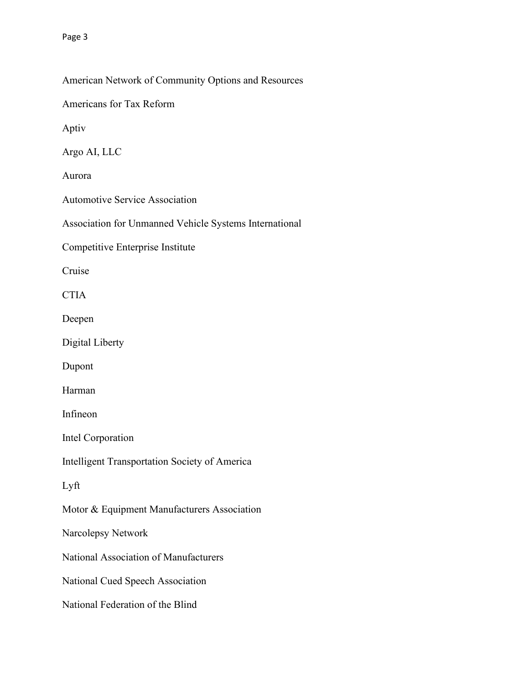## American Network of Community Options and Resources

Americans for Tax Reform

Aptiv

Argo AI, LLC

Aurora

Automotive Service Association

Association for Unmanned Vehicle Systems International

Competitive Enterprise Institute

Cruise

**CTIA** 

Deepen

Digital Liberty

Dupont

Harman

Infineon

Intel Corporation

Intelligent Transportation Society of America

Lyft

Motor & Equipment Manufacturers Association

Narcolepsy Network

National Association of Manufacturers

National Cued Speech Association

National Federation of the Blind